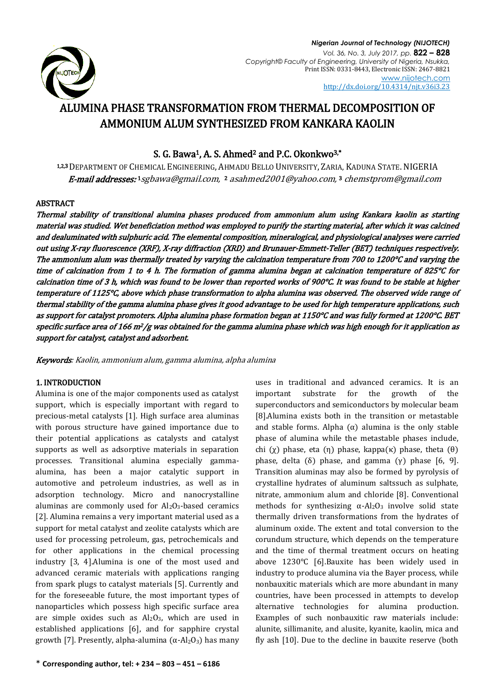

# ALUMINA PHASE TRANSFORMATION FROM THERMAL DECOMPOSITION OF AMMONIUM ALUM SYNTHESIZED FROM KANKARA KAOLIN

# S. G. Bawa<sup>1</sup>, A. S. Ahmed<sup>2</sup> and P.C. Okonkwo<sup>3,\*</sup>

1,2,<sup>3</sup>DEPARTMENT OF CHEMICAL ENGINEERING, AHMADU BELLO UNIVERSITY, ZARIA, KADUNA STATE. NIGERIA **E-mail addresses:**1[sgbawa@gmail.com,](mailto:sgbawa@gmail.com) 2 asahmed2001@yahoo.com,3 [chemstprom@gmail.com](mailto:chemstprom@gmail.com)

# ABSTRACT

Thermal stability of transitional alumina phases produced from ammonium alum using Kankara kaolin as starting material was studied. Wet beneficiation method was employed to purify the starting material, after which it was calcined and dealuminated with sulphuric acid. The elemental composition, mineralogical, and physiological analyses were carried out using X-ray fluorescence (XRF), X-ray diffraction (XRD) and Brunauer-Emmett-Teller (BET) techniques respectively. The ammonium alum was thermally treated by varying the calcination temperature from 700 to 1200°C and varying the time of calcination from 1 to 4 h. The formation of gamma alumina began at calcination temperature of 825°C for calcination time of 3 h, which was found to be lower than reported works of 900°C. It was found to be stable at higher temperature of 1125°C, above which phase transformation to alpha alumina was observed. The observed wide range of thermal stability of the gamma alumina phase gives it good advantage to be used for high temperature applications, such as support for catalyst promoters. Alpha alumina phase formation began at 1150°C and was fully formed at 1200°C. BET specific surface area of 166 m<sup>2</sup>/g was obtained for the gamma alumina phase which was high enough for it application as support for catalyst, catalyst and adsorbent.

Keywords: Kaolin, ammonium alum, gamma alumina, alpha alumina

# 1. INTRODUCTION

Alumina is one of the major components used as catalyst support, which is especially important with regard to precious-metal catalysts [1]. High surface area aluminas with porous structure have gained importance due to their potential applications as catalysts and catalyst supports as well as adsorptive materials in separation processes. Transitional alumina especially gammaalumina, has been a major catalytic support in automotive and petroleum industries, as well as in adsorption technology. Micro and nanocrystalline aluminas are commonly used for  $Al_2O_3$ -based ceramics [2]. Alumina remains a very important material used as a support for metal catalyst and zeolite catalysts which are used for processing petroleum, gas, petrochemicals and for other applications in the chemical processing industry [3, 4].Alumina is one of the most used and advanced ceramic materials with applications ranging from spark plugs to catalyst materials [5]. Currently and for the foreseeable future, the most important types of nanoparticles which possess high specific surface area are simple oxides such as  $Al_2O_3$ , which are used in established applications [6], and for sapphire crystal growth [7]. Presently, alpha-alumina  $(\alpha$ -Al<sub>2</sub>O<sub>3</sub>) has many uses in traditional and advanced ceramics. It is an important substrate for the growth of the superconductors and semiconductors by molecular beam [8].Alumina exists both in the transition or metastable and stable forms. Alpha  $(\alpha)$  alumina is the only stable phase of alumina while the metastable phases include, chi (χ) phase, eta (η) phase, kappa(κ) phase, theta (θ) phase, delta (δ) phase, and gamma (γ) phase [6, 9]. Transition aluminas may also be formed by pyrolysis of crystalline hydrates of aluminum saltssuch as sulphate, nitrate, ammonium alum and chloride [8]. Conventional methods for synthesizing  $\alpha$ -Al<sub>2</sub>O<sub>3</sub> involve solid state thermally driven transformations from the hydrates of aluminum oxide. The extent and total conversion to the corundum structure, which depends on the temperature and the time of thermal treatment occurs on heating above 1230°C [6].Bauxite has been widely used in industry to produce alumina via the Bayer process, while nonbauxitic materials which are more abundant in many countries, have been processed in attempts to develop alternative technologies for alumina production. Examples of such nonbauxitic raw materials include: alunite, sillimanite, and alusite, kyanite, kaolin, mica and fly ash [10]. Due to the decline in bauxite reserve (both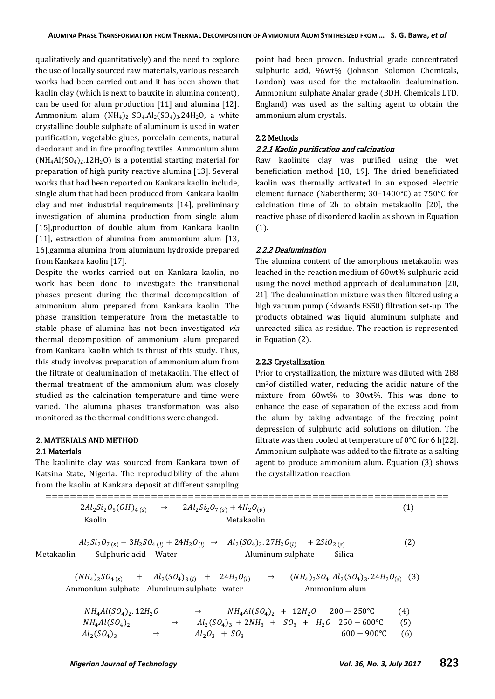qualitatively and quantitatively) and the need to explore the use of locally sourced raw materials, various research works had been carried out and it has been shown that kaolin clay (which is next to bauxite in alumina content), can be used for alum production [11] and alumina [12]. Ammonium alum  $(NH_4)_2$   $SO_4$ .Al<sub>2</sub> $(SO_4)_3$ .24H<sub>2</sub>O, a white crystalline double sulphate of aluminum is used in water purification, vegetable glues, porcelain cements, natural deodorant and in fire proofing textiles. Ammonium alum  $(NH_4Al(SO_4)_2.12H_2O)$  is a potential starting material for preparation of high purity reactive alumina [13]. Several works that had been reported on Kankara kaolin include, single alum that had been produced from Kankara kaolin clay and met industrial requirements [14], preliminary investigation of alumina production from single alum [15], production of double alum from Kankara kaolin [11], extraction of alumina from ammonium alum [13, 16],gamma alumina from aluminum hydroxide prepared from Kankara kaolin [17].

Despite the works carried out on Kankara kaolin, no work has been done to investigate the transitional phases present during the thermal decomposition of ammonium alum prepared from Kankara kaolin. The phase transition temperature from the metastable to stable phase of alumina has not been investigated via thermal decomposition of ammonium alum prepared from Kankara kaolin which is thrust of this study. Thus, this study involves preparation of ammonium alum from the filtrate of dealumination of metakaolin. The effect of thermal treatment of the ammonium alum was closely studied as the calcination temperature and time were varied. The alumina phases transformation was also monitored as the thermal conditions were changed.

## 2. MATERIALS AND METHOD

#### 2.1 Materials

The kaolinite clay was sourced from Kankara town of Katsina State, Nigeria. The reproducibility of the alum from the kaolin at Kankara deposit at different sampling point had been proven. Industrial grade concentrated sulphuric acid, 96wt% (Johnson Solomon Chemicals, London) was used for the metakaolin dealumination. Ammonium sulphate Analar grade (BDH, Chemicals LTD, England) was used as the salting agent to obtain the ammonium alum crystals.

#### 2.2 Methods

## 2.2.1 Kaolin purification and calcination

Raw kaolinite clay was purified using the wet beneficiation method [18, 19]. The dried beneficiated kaolin was thermally activated in an exposed electric element furnace (Nabertherm; 30–1400°C) at 750°C for calcination time of 2h to obtain metakaolin [20], the reactive phase of disordered kaolin as shown in Equation (1).

#### 2.2.2 Dealumination

The alumina content of the amorphous metakaolin was leached in the reaction medium of 60wt% sulphuric acid using the novel method approach of dealumination [20, 21]. The dealumination mixture was then filtered using a high vacuum pump (Edwards ES50) filtration set-up. The products obtained was liquid aluminum sulphate and unreacted silica as residue. The reaction is represented in Equation (2).

## 2.2.3 Crystallization

Prior to crystallization, the mixture was diluted with 288 cm3of distilled water, reducing the acidic nature of the mixture from 60wt% to 30wt%. This was done to enhance the ease of separation of the excess acid from the alum by taking advantage of the freezing point depression of sulphuric acid solutions on dilution. The filtrate was then cooled at temperature of  $0^{\circ}$ C for 6 h[22]. Ammonium sulphate was added to the filtrate as a salting agent to produce ammonium alum. Equation (3) shows the crystallization reaction.

| $2Al_2Si_2O_5(OH)_{4(S)} \rightarrow 2Al_2Si_2O_{7(S)} + 4H_2O_{(v)}$<br>Kaolin<br>Metakaolin                                                                                                  | (1)               |
|------------------------------------------------------------------------------------------------------------------------------------------------------------------------------------------------|-------------------|
| $Al_2Si_2O_{7(s)} + 3H_2SO_{4(l)} + 24H_2O_{(l)} \rightarrow Al_2(SO_4)_3.27H_2O_{(l)} + 2SiO_{2(s)}$<br>Metakaolin<br>Sulphuric acid Water<br>Aluminum sulphate<br>Silica                     | $\left( 2\right)$ |
| $(NH_4)_2SO_{4(5)}$ + $Al_2(SO_4)_{3(l)}$ + $24H_2O_{(l)}$ $\rightarrow$<br>$(NH_4)_2SO_4$ . $Al_2(SO_4)_3$ . $24H_2O_{(s)}$ (3)<br>Ammonium sulphate Aluminum sulphate water<br>Ammonium alum |                   |
| $NH_4Al(SO_4)_2 + 12H_2O$<br>$200 - 250$ °C<br>$NH_4Al(SO_4)_2.12H_2O$<br>$\rightarrow$                                                                                                        | (4)               |

| $N \prod_{4} A U (SU_4)$ . 14 $\Pi_2 U$ |               |                  | $N_{4}H_{4}(3U_{4})_{2} + 12H_{2}U - 200 - 230U$      | (4) |
|-----------------------------------------|---------------|------------------|-------------------------------------------------------|-----|
| $NH4Al(SO4)2$                           |               |                  | $Al_2(SO_4)_3 + 2NH_3 + SO_3 + H_2O$ 250 – 600 °C (5) |     |
| $Al_2(SO_4)_3$                          | $\rightarrow$ | $Al_2O_3 + SO_3$ | $600 - 900$ °C (6)                                    |     |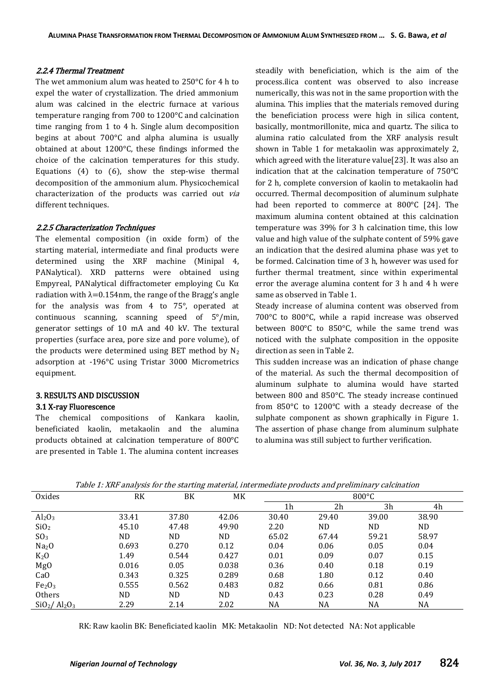### 2.2.4 Thermal Treatment

The wet ammonium alum was heated to 250°C for 4 h to expel the water of crystallization. The dried ammonium alum was calcined in the electric furnace at various temperature ranging from 700 to 1200°C and calcination time ranging from 1 to 4 h. Single alum decomposition begins at about 700°C and alpha alumina is usually obtained at about 1200°C, these findings informed the choice of the calcination temperatures for this study. Equations  $(4)$  to  $(6)$ , show the step-wise thermal decomposition of the ammonium alum. Physicochemical characterization of the products was carried out via different techniques.

#### 2.2.5 Characterization Techniques

The elemental composition (in oxide form) of the starting material, intermediate and final products were determined using the XRF machine (Minipal 4, PANalytical). XRD patterns were obtained using Empyreal, PANalytical diffractometer employing Cu Kα radiation with  $\lambda = 0.154$ nm, the range of the Bragg's angle for the analysis was from 4 to 75°, operated at continuous scanning, scanning speed of 5°/min, generator settings of 10 mA and 40 kV. The textural properties (surface area, pore size and pore volume), of the products were determined using BET method by  $N_2$ adsorption at -196°C using Tristar 3000 Micrometrics equipment.

# 3. RESULTS AND DISCUSSION

# 3.1 X-ray Fluorescence

The chemical compositions of Kankara kaolin, beneficiated kaolin, metakaolin and the alumina products obtained at calcination temperature of 800°C are presented in Table 1. The alumina content increases steadily with beneficiation, which is the aim of the process.ilica content was observed to also increase numerically, this was not in the same proportion with the alumina. This implies that the materials removed during the beneficiation process were high in silica content, basically, montmorillonite, mica and quartz. The silica to alumina ratio calculated from the XRF analysis result shown in Table 1 for metakaolin was approximately 2, which agreed with the literature value[23]. It was also an indication that at the calcination temperature of 750°C for 2 h, complete conversion of kaolin to metakaolin had occurred. Thermal decomposition of aluminum sulphate had been reported to commerce at  $800^{\circ}$ C [24]. The maximum alumina content obtained at this calcination temperature was 39% for 3 h calcination time, this low value and high value of the sulphate content of 59% gave an indication that the desired alumina phase was yet to be formed. Calcination time of 3 h, however was used for further thermal treatment, since within experimental error the average alumina content for 3 h and 4 h were same as observed in Table 1.

Steady increase of alumina content was observed from 700°C to 800°C, while a rapid increase was observed between 800°C to 850°C, while the same trend was noticed with the sulphate composition in the opposite direction as seen in Table 2.

This sudden increase was an indication of phase change of the material. As such the thermal decomposition of aluminum sulphate to alumina would have started between 800 and 850°C. The steady increase continued from 850°C to 1200°C with a steady decrease of the sulphate component as shown graphically in Figure 1. The assertion of phase change from aluminum sulphate to alumina was still subject to further verification.

| Oxides                         | RK    | BK    | МK    |                | $800^{\circ}$ C |       |           |  |
|--------------------------------|-------|-------|-------|----------------|-----------------|-------|-----------|--|
|                                |       |       |       | 1 <sub>h</sub> | 2h              | 3h    | 4h        |  |
| Al <sub>2</sub> O <sub>3</sub> | 33.41 | 37.80 | 42.06 | 30.40          | 29.40           | 39.00 | 38.90     |  |
| SiO <sub>2</sub>               | 45.10 | 47.48 | 49.90 | 2.20           | ND.             | ND.   | ND.       |  |
| SO <sub>3</sub>                | ND.   | ND.   | ND.   | 65.02          | 67.44           | 59.21 | 58.97     |  |
| Na <sub>2</sub> O              | 0.693 | 0.270 | 0.12  | 0.04           | 0.06            | 0.05  | 0.04      |  |
| $K_2O$                         | 1.49  | 0.544 | 0.427 | 0.01           | 0.09            | 0.07  | 0.15      |  |
| Mg <sub>0</sub>                | 0.016 | 0.05  | 0.038 | 0.36           | 0.40            | 0.18  | 0.19      |  |
| CaO                            | 0.343 | 0.325 | 0.289 | 0.68           | 1.80            | 0.12  | 0.40      |  |
| Fe <sub>2</sub> O <sub>3</sub> | 0.555 | 0.562 | 0.483 | 0.82           | 0.66            | 0.81  | 0.86      |  |
| Others                         | ND.   | ND.   | ND.   | 0.43           | 0.23            | 0.28  | 0.49      |  |
| $SiO2/Al2O3$                   | 2.29  | 2.14  | 2.02  | NA             | NA              | NA    | <b>NA</b> |  |

Table 1: XRF analysis for the starting material, intermediate products and preliminary calcination

RK: Raw kaolin BK: Beneficiated kaolin MK: Metakaolin ND: Not detected NA: Not applicable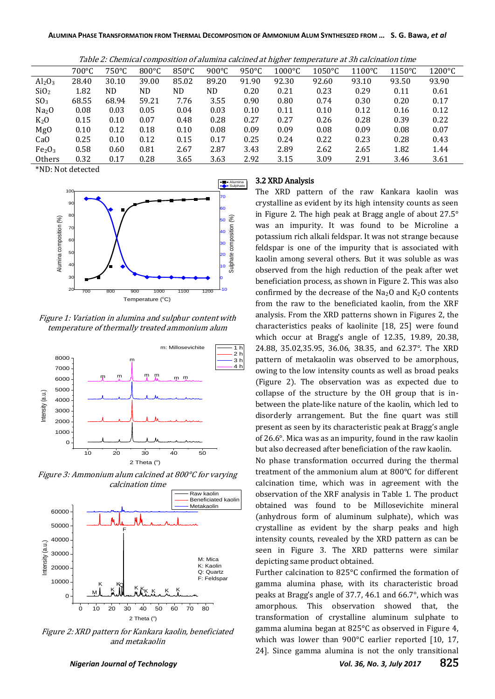Table 2: Chemical composition of alumina calcined at higher temperature at 3h calcination time

|                                | $700^{\circ}$ C | 750°C | $800^{\circ}$ C | $850^{\circ}$ C | 900 $\degree$ C | $950^{\circ}$ C | $1000\textdegree C$ | $1050^{\circ}$ C | $1100^{\circ}$ C | $1150^{\circ}$ C | $1200^{\circ}$ C |
|--------------------------------|-----------------|-------|-----------------|-----------------|-----------------|-----------------|---------------------|------------------|------------------|------------------|------------------|
| Al <sub>2</sub> O <sub>3</sub> | 28.40           | 30.10 | 39.00           | 85.02           | 89.20           | 91.90           | 92.30               | 92.60            | 93.10            | 93.50            | 93.90            |
| SiO <sub>2</sub>               | 1.82            | ND.   | ND              | ND              | ND              | 0.20            | 0.21                | 0.23             | 0.29             | 0.11             | 0.61             |
| SO <sub>3</sub>                | 68.55           | 68.94 | 59.21           | 7.76            | 3.55            | 0.90            | 0.80                | 0.74             | 0.30             | 0.20             | 0.17             |
| Na <sub>2</sub> O              | 0.08            | 0.03  | 0.05            | 0.04            | 0.03            | 0.10            | 0.11                | 0.10             | 0.12             | 0.16             | 0.12             |
| $K_2O$                         | 0.15            | 0.10  | 0.07            | 0.48            | 0.28            | 0.27            | 0.27                | 0.26             | 0.28             | 0.39             | 0.22             |
| MgO                            | 0.10            | 0.12  | 0.18            | 0.10            | 0.08            | 0.09            | 0.09                | 0.08             | 0.09             | 0.08             | 0.07             |
| CaO                            | 0.25            | 0.10  | 0.12            | 0.15            | 0.17            | 0.25            | 0.24                | 0.22             | 0.23             | 0.28             | 0.43             |
| Fe <sub>2</sub> O <sub>3</sub> | 0.58            | 0.60  | 0.81            | 2.67            | 2.87            | 3.43            | 2.89                | 2.62             | 2.65             | 1.82             | 1.44             |
| Others                         | 0.32            | 0.17  | 0.28            | 3.65            | 3.63            | 2.92            | 3.15                | 3.09             | 2.91             | 3.46             | 3.61             |

\*ND: Not detected



Figure 1: Variation in alumina and sulphur content with temperature of thermally treated ammonium alum



Figure 3: Ammonium alum calcined at 800°C for varying calcination time



Figure 2: XRD pattern for Kankara kaolin, beneficiated and metakaolin

#### **Alumina** 3.2 XRD Analysis

The XRD pattern of the raw Kankara kaolin was crystalline as evident by its high intensity counts as seen in Figure 2. The high peak at Bragg angle of about 27.5°  $\frac{1}{6}$  is was an impurity. It was found to be Microline a  $\frac{40}{8}$   $\frac{1}{8}$  potassium rich alkali feldspar. It was not strange because  $\frac{1}{8}$   $\frac{1}{8}$  feldspar is one of the impurity that is associated with  $\frac{p_0}{p}$   $\frac{p}{p}$  kaolin among several others. But it was soluble as was  $\frac{10}{6}$  observed from the high reduction of the peak after wet  $\int_{0}^{\infty}$  beneficiation process, as shown in Figure 2. This was also <sup>110</sup> confirmed by the decrease of the Na<sub>2</sub>O and K<sub>2</sub>O contents from the raw to the beneficiated kaolin, from the XRF analysis. From the XRD patterns shown in Figures 2, the characteristics peaks of kaolinite [18, 25] were found which occur at Bragg's angle of  $12.35$ ,  $19.89$ ,  $20.38$ ,  $\binom{1 \text{ h}}{24.88}$ , 35.02,35.95, 36.06, 38.35, and 62.37°. The XRD z h<br>
3 h<br>
pattern of metakaolin was observed to be amorphous,  $\frac{4 \text{ h}}{4}$  owing to the low intensity counts as well as broad peaks (Figure 2). The observation was as expected due to collapse of the structure by the OH group that is inbetween the plate-like nature of the kaolin, which led to disorderly arrangement. But the fine quart was still present as seen by its characteristic peak at Bragg's angle of 26.6°. Mica was as an impurity, found in the raw kaolin but also decreased after beneficiation of the raw kaolin.

No phase transformation occurred during the thermal treatment of the ammonium alum at 800°C for different calcination time, which was in agreement with the observation of the XRF analysis in Table 1. The product obtained was found to be Millosevichite mineral (anhydrous form of aluminum sulphate), which was crystalline as evident by the sharp peaks and high intensity counts, revealed by the XRD pattern as can be seen in Figure 3. The XRD patterns were similar M: Mica depicting same product obtained.

Q: Quartz Further calcination to 825°C confirmed the formation of gamma alumina phase, with its characteristic broad peaks at Bragg's angle of 37.7, 46.1 and 66.7 $^{\circ}$ , which was amorphous. This observation showed that, the transformation of crystalline aluminum sulphate to gamma alumina began at 825°C as observed in Figure 4, which was lower than 900°C earlier reported [10, 17, 24]. Since gamma alumina is not the only transitional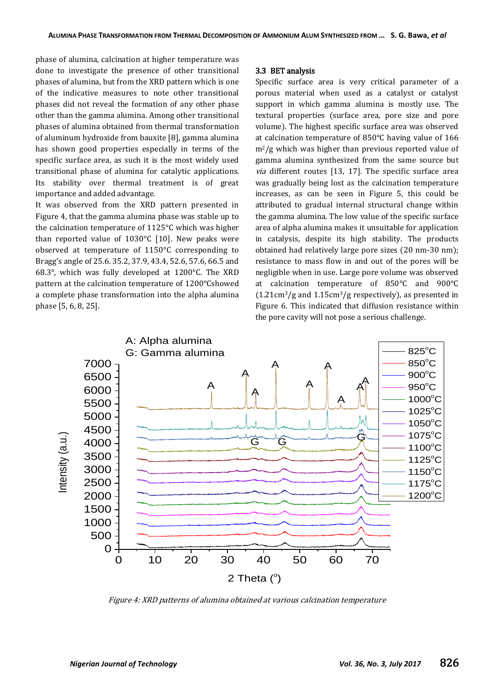phase of alumina, calcination at higher temperature was done to investigate the presence of other transitional phases of alumina, but from the XRD pattern which is one of the indicative measures to note other transitional phases did not reveal the formation of any other phase other than the gamma alumina. Among other transitional phases of alumina obtained from thermal transformation of aluminum hydroxide from bauxite [8], gamma alumina has shown good properties especially in terms of the specific surface area, as such it is the most widely used transitional phase of alumina for catalytic applications. Its stability over thermal treatment is of great importance and added advantage.

It was observed from the XRD pattern presented in Figure 4, that the gamma alumina phase was stable up to the calcination temperature of 1125°C which was higher than reported value of  $1030^{\circ}$ C [10]. New peaks were observed at temperature of 1150°C corresponding to Bragg's angle of 25.6. 35.2, 37.9, 43.4, 52.6, 57.6, 66.5 and 68.3°, which was fully developed at 1200°C. The XRD pattern at the calcination temperature of 1200°Cshowed a complete phase transformation into the alpha alumina phase [5, 6, 8, 25].

### 3.3 BET analysis

Specific surface area is very critical parameter of a porous material when used as a catalyst or catalyst support in which gamma alumina is mostly use. The textural properties (surface area, pore size and pore volume). The highest specific surface area was observed at calcination temperature of 850°C having value of 166  $m^2/g$  which was higher than previous reported value of gamma alumina synthesized from the same source but  $via$  different routes [13, 17]. The specific surface area was gradually being lost as the calcination temperature increases, as can be seen in Figure 5, this could be attributed to gradual internal structural change within the gamma alumina. The low value of the specific surface area of alpha alumina makes it unsuitable for application in catalysis, despite its high stability. The products obtained had relatively large pore sizes (20 nm-30 nm); resistance to mass flow in and out of the pores will be negligible when in use. Large pore volume was observed at calcination temperature of 850°C and 900°C (1.21cm3/g and 1.15cm3/g respectively), as presented in Figure 6. This indicated that diffusion resistance within the pore cavity will not pose a serious challenge.



Figure 4: XRD patterns of alumina obtained at various calcination temperature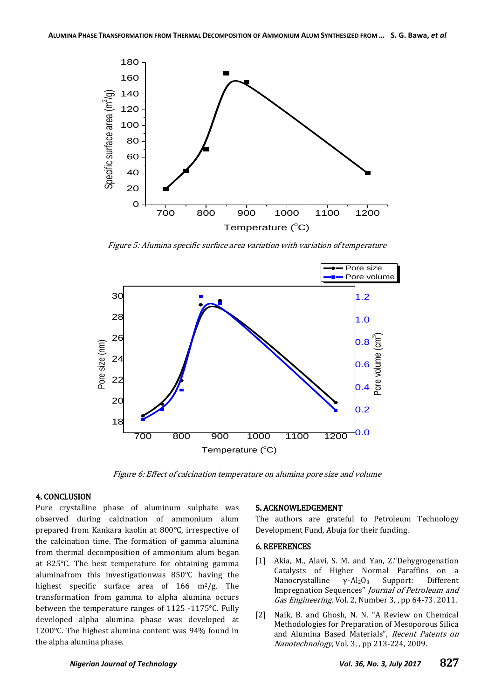

Figure 5: Alumina specific surface area variation with variation of temperature



Figure 6: Effect of calcination temperature on alumina pore size and volume

## 4. CONCLUSION

Pure crystalline phase of aluminum sulphate was observed during calcination of ammonium alum prepared from Kankara kaolin at 800°C, irrespective of the calcination time. The formation of gamma alumina from thermal decomposition of ammonium alum began at 825°C. The best temperature for obtaining gamma aluminafrom this investigationwas 850°C having the highest specific surface area of  $166 \text{ m}^2/\text{g}$ . The transformation from gamma to alpha alumina occurs between the temperature ranges of 1125 -1175°C. Fully developed alpha alumina phase was developed at 1200°C. The highest alumina content was 94% found in the alpha alumina phase.

#### 5. ACKNOWLEDGEMENT

The authors are grateful to Petroleum Technology Development Fund, Abuja for their funding.

#### 6. REFERENCES

- [1] Akia, M., Alavi, S. M. and Yan, Z."Dehygrogenation Catalysts of Higher Normal Paraffins on a Nanocrystalline  $γ$ -Al<sub>2</sub>O<sub>3</sub> Support: Different Impregnation Sequences" Journal of Petroleum and Gas Engineering. Vol. 2, Number 3, , pp 64-73. 2011.
- [2] Naik, B. and Ghosh, N. N. "A Review on Chemical Methodologies for Preparation of Mesoporous Silica and Alumina Based Materials", Recent Patents on Nanotechnology, Vol. 3, , pp 213-224, 2009.